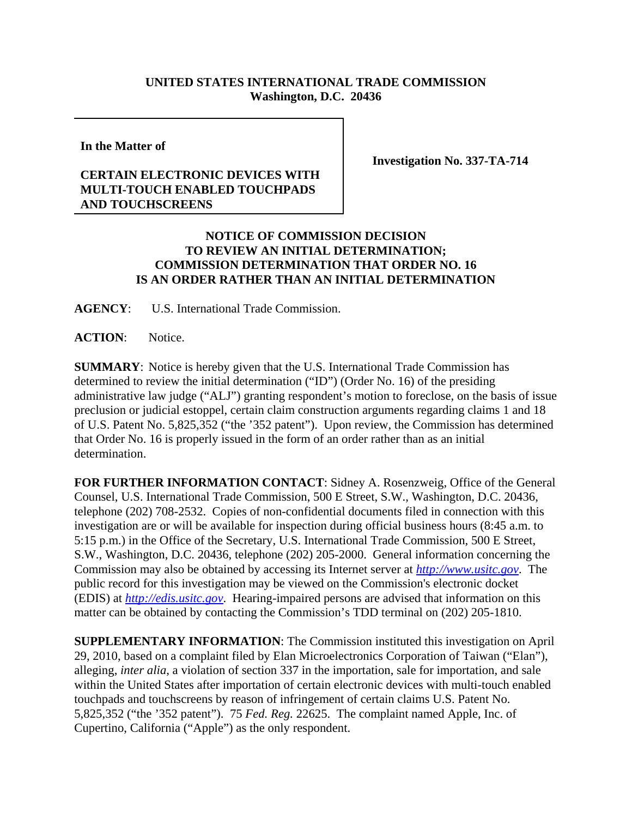## **UNITED STATES INTERNATIONAL TRADE COMMISSION Washington, D.C. 20436**

**In the Matter of** 

## **CERTAIN ELECTRONIC DEVICES WITH MULTI-TOUCH ENABLED TOUCHPADS AND TOUCHSCREENS**

**Investigation No. 337-TA-714**

## **NOTICE OF COMMISSION DECISION TO REVIEW AN INITIAL DETERMINATION; COMMISSION DETERMINATION THAT ORDER NO. 16 IS AN ORDER RATHER THAN AN INITIAL DETERMINATION**

**AGENCY**: U.S. International Trade Commission.

**ACTION**: Notice.

**SUMMARY**: Notice is hereby given that the U.S. International Trade Commission has determined to review the initial determination ("ID") (Order No. 16) of the presiding administrative law judge ("ALJ") granting respondent's motion to foreclose, on the basis of issue preclusion or judicial estoppel, certain claim construction arguments regarding claims 1 and 18 of U.S. Patent No. 5,825,352 ("the '352 patent"). Upon review, the Commission has determined that Order No. 16 is properly issued in the form of an order rather than as an initial determination.

**FOR FURTHER INFORMATION CONTACT**: Sidney A. Rosenzweig, Office of the General Counsel, U.S. International Trade Commission, 500 E Street, S.W., Washington, D.C. 20436, telephone (202) 708-2532. Copies of non-confidential documents filed in connection with this investigation are or will be available for inspection during official business hours (8:45 a.m. to 5:15 p.m.) in the Office of the Secretary, U.S. International Trade Commission, 500 E Street, S.W., Washington, D.C. 20436, telephone (202) 205-2000. General information concerning the Commission may also be obtained by accessing its Internet server at *http://www.usitc.gov*. The public record for this investigation may be viewed on the Commission's electronic docket (EDIS) at *http://edis.usitc.gov*. Hearing-impaired persons are advised that information on this matter can be obtained by contacting the Commission's TDD terminal on (202) 205-1810.

**SUPPLEMENTARY INFORMATION**: The Commission instituted this investigation on April 29, 2010, based on a complaint filed by Elan Microelectronics Corporation of Taiwan ("Elan"), alleging, *inter alia*, a violation of section 337 in the importation, sale for importation, and sale within the United States after importation of certain electronic devices with multi-touch enabled touchpads and touchscreens by reason of infringement of certain claims U.S. Patent No. 5,825,352 ("the '352 patent"). 75 *Fed. Reg.* 22625. The complaint named Apple, Inc. of Cupertino, California ("Apple") as the only respondent.